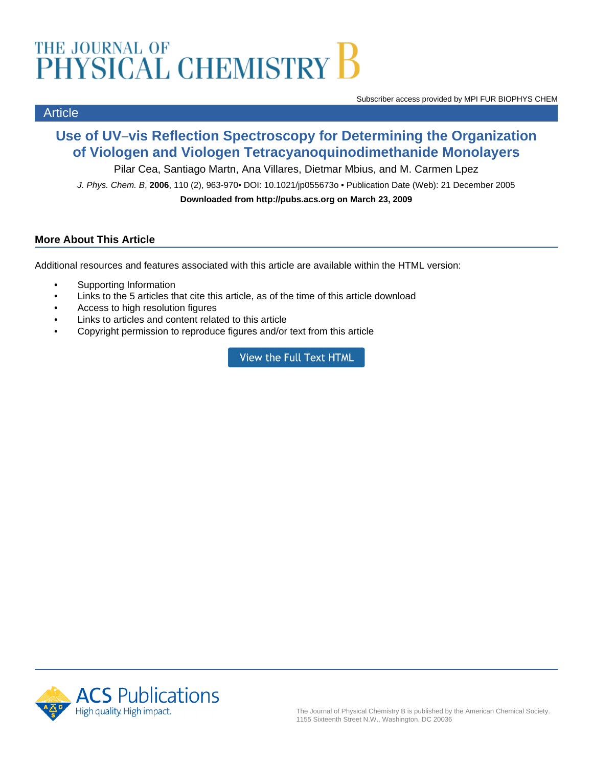# THE JOURNAL OF CHEMISTRY B

Article

Subscriber access provided by MPI FUR BIOPHYS CHEM

# **Use of UV−vis Reflection Spectroscopy for Determining the Organization of Viologen and Viologen Tetracyanoquinodimethanide Monolayers**

Pilar Cea, Santiago Martn, Ana Villares, Dietmar Mbius, and M. Carmen Lpez

J. Phys. Chem. B, **2006**, 110 (2), 963-970• DOI: 10.1021/jp055673o • Publication Date (Web): 21 December 2005

**Downloaded from http://pubs.acs.org on March 23, 2009**

## **More About This Article**

Additional resources and features associated with this article are available within the HTML version:

- Supporting Information
- Links to the 5 articles that cite this article, as of the time of this article download
- Access to high resolution figures
- Links to articles and content related to this article
- Copyright permission to reproduce figures and/or text from this article

**View the Full Text HTML** 

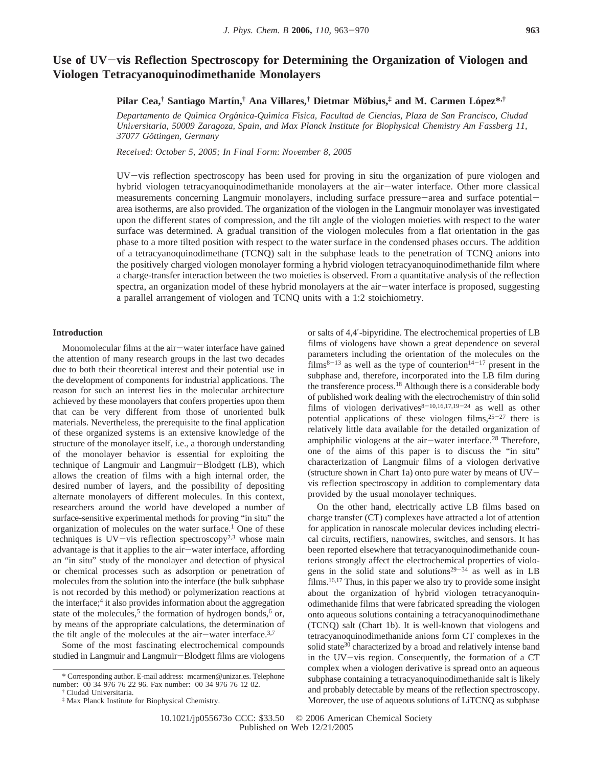## **Use of UV**-**vis Reflection Spectroscopy for Determining the Organization of Viologen and Viologen Tetracyanoquinodimethanide Monolayers**

#### **Pilar Cea,† Santiago Martı**´**n,† Ana Villares,† Dietmar Mo**1**bius,‡ and M. Carmen Lo**´**pez\*,†**

*Departamento de Quı*´*mica Orga*´*nica-Quı*´*mica Fı*´*sica, Facultad de Ciencias, Plaza de San Francisco, Ciudad Uni*V*ersitaria, 50009 Zaragoza, Spain, and Max Planck Institute for Biophysical Chemistry Am Fassberg 11, 37077 Go¨ttingen, Germany*

*Recei*V*ed: October 5, 2005; In Final Form: No*V*ember 8, 2005*

UV-vis reflection spectroscopy has been used for proving in situ the organization of pure viologen and hybrid viologen tetracyanoquinodimethanide monolayers at the air-water interface. Other more classical measurements concerning Langmuir monolayers, including surface pressure-area and surface potentialarea isotherms, are also provided. The organization of the viologen in the Langmuir monolayer was investigated upon the different states of compression, and the tilt angle of the viologen moieties with respect to the water surface was determined. A gradual transition of the viologen molecules from a flat orientation in the gas phase to a more tilted position with respect to the water surface in the condensed phases occurs. The addition of a tetracyanoquinodimethane (TCNQ) salt in the subphase leads to the penetration of TCNQ anions into the positively charged viologen monolayer forming a hybrid viologen tetracyanoquinodimethanide film where a charge-transfer interaction between the two moieties is observed. From a quantitative analysis of the reflection spectra, an organization model of these hybrid monolayers at the air-water interface is proposed, suggesting a parallel arrangement of viologen and TCNQ units with a 1:2 stoichiometry.

#### **Introduction**

Monomolecular films at the air-water interface have gained the attention of many research groups in the last two decades due to both their theoretical interest and their potential use in the development of components for industrial applications. The reason for such an interest lies in the molecular architecture achieved by these monolayers that confers properties upon them that can be very different from those of unoriented bulk materials. Nevertheless, the prerequisite to the final application of these organized systems is an extensive knowledge of the structure of the monolayer itself, i.e., a thorough understanding of the monolayer behavior is essential for exploiting the technique of Langmuir and Langmuir-Blodgett (LB), which allows the creation of films with a high internal order, the desired number of layers, and the possibility of depositing alternate monolayers of different molecules. In this context, researchers around the world have developed a number of surface-sensitive experimental methods for proving "in situ" the organization of molecules on the water surface.<sup>1</sup> One of these techniques is  $UV - vis$  reflection spectroscopy<sup>2,3</sup> whose main advantage is that it applies to the air-water interface, affording an "in situ" study of the monolayer and detection of physical or chemical processes such as adsorption or penetration of molecules from the solution into the interface (the bulk subphase is not recorded by this method) or polymerization reactions at the interface;<sup>4</sup> it also provides information about the aggregation state of the molecules,<sup>5</sup> the formation of hydrogen bonds,<sup>6</sup> or, by means of the appropriate calculations, the determination of the tilt angle of the molecules at the air-water interface.<sup>3,7</sup>

Some of the most fascinating electrochemical compounds studied in Langmuir and Langmuir-Blodgett films are viologens

or salts of 4,4′-bipyridine. The electrochemical properties of LB films of viologens have shown a great dependence on several parameters including the orientation of the molecules on the  $films^{8-13}$  as well as the type of counterion<sup>14-17</sup> present in the subphase and, therefore, incorporated into the LB film during the transference process.18 Although there is a considerable body of published work dealing with the electrochemistry of thin solid films of viologen derivatives<sup>8-10,16,17,19-24</sup> as well as other potential applications of these viologen films, $25-27$  there is relatively little data available for the detailed organization of amphiphilic viologens at the air-water interface.<sup>28</sup> Therefore, one of the aims of this paper is to discuss the "in situ" characterization of Langmuir films of a viologen derivative (structure shown in Chart 1a) onto pure water by means of  $UV$ vis reflection spectroscopy in addition to complementary data provided by the usual monolayer techniques.

On the other hand, electrically active LB films based on charge transfer (CT) complexes have attracted a lot of attention for application in nanoscale molecular devices including electrical circuits, rectifiers, nanowires, switches, and sensors. It has been reported elsewhere that tetracyanoquinodimethanide counterions strongly affect the electrochemical properties of viologens in the solid state and solutions<sup>29-34</sup> as well as in LB films.16,17 Thus, in this paper we also try to provide some insight about the organization of hybrid viologen tetracyanoquinodimethanide films that were fabricated spreading the viologen onto aqueous solutions containing a tetracyanoquinodimethane (TCNQ) salt (Chart 1b). It is well-known that viologens and tetracyanoquinodimethanide anions form CT complexes in the solid state<sup>30</sup> characterized by a broad and relatively intense band in the UV-vis region. Consequently, the formation of a CT complex when a viologen derivative is spread onto an aqueous subphase containing a tetracyanoquinodimethanide salt is likely and probably detectable by means of the reflection spectroscopy. Moreover, the use of aqueous solutions of LiTCNQ as subphase

<sup>\*</sup> Corresponding author. E-mail address: mcarmen@unizar.es. Telephone number: 00 34 976 76 22 96. Fax number: 00 34 976 76 12 02.

<sup>†</sup> Ciudad Universitaria.

<sup>‡</sup> Max Planck Institute for Biophysical Chemistry.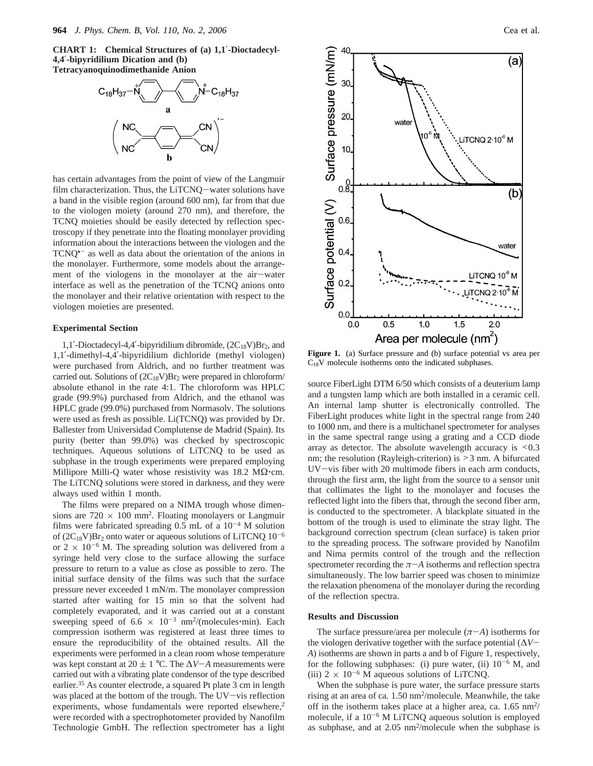**CHART 1: Chemical Structures of (a) 1,1**′**-Dioctadecyl-4,4**′**-bipyridilium Dication and (b) Tetracyanoquinodimethanide Anion**



has certain advantages from the point of view of the Langmuir film characterization. Thus, the LiTCNQ-water solutions have a band in the visible region (around 600 nm), far from that due to the viologen moiety (around 270 nm), and therefore, the TCNQ moieties should be easily detected by reflection spectroscopy if they penetrate into the floating monolayer providing information about the interactions between the viologen and the TCNO<sup> $\sim$ -</sup> as well as data about the orientation of the anions in the monolayer. Furthermore, some models about the arrangement of the viologens in the monolayer at the air-water interface as well as the penetration of the TCNQ anions onto the monolayer and their relative orientation with respect to the viologen moieties are presented.

#### **Experimental Section**

1,1'-Dioctadecyl-4,4'-bipyridilium dibromide,  $(2C_{18}V)Br<sub>2</sub>$ , and 1,1′-dimethyl-4,4′-bipyridilium dichloride (methyl viologen) were purchased from Aldrich, and no further treatment was carried out. Solutions of  $(2C_{18}V)Br<sub>2</sub>$  were prepared in chloroform/ absolute ethanol in the rate 4:1. The chloroform was HPLC grade (99.9%) purchased from Aldrich, and the ethanol was HPLC grade (99.0%) purchased from Normasolv. The solutions were used as fresh as possible. Li(TCNQ) was provided by Dr. Ballester from Universidad Complutense de Madrid (Spain). Its purity (better than 99.0%) was checked by spectroscopic techniques. Aqueous solutions of LiTCNQ to be used as subphase in the trough experiments were prepared employing Millipore Milli-Q water whose resistivity was 18.2 MΩ'cm. The LiTCNQ solutions were stored in darkness, and they were always used within 1 month.

The films were prepared on a NIMA trough whose dimensions are  $720 \times 100$  mm<sup>2</sup>. Floating monolayers or Langmuir films were fabricated spreading 0.5 mL of a  $10^{-4}$  M solution of  $(2C_{18}V)Br_2$  onto water or aqueous solutions of LiTCNQ  $10^{-6}$ or  $2 \times 10^{-6}$  M. The spreading solution was delivered from a syringe held very close to the surface allowing the surface pressure to return to a value as close as possible to zero. The initial surface density of the films was such that the surface pressure never exceeded 1 mN/m. The monolayer compression started after waiting for 15 min so that the solvent had completely evaporated, and it was carried out at a constant sweeping speed of 6.6  $\times$  10<sup>-3</sup> nm<sup>2</sup>/(molecules·min). Each compression isotherm was registered at least three times to ensure the reproducibility of the obtained results. All the experiments were performed in a clean room whose temperature was kept constant at  $20 \pm 1$  °C. The  $\Delta V$ –A measurements were carried out with a vibrating plate condensor of the type described earlier.35 As counter electrode, a squared Pt plate 3 cm in length was placed at the bottom of the trough. The UV-vis reflection experiments, whose fundamentals were reported elsewhere, $2$ were recorded with a spectrophotometer provided by Nanofilm Technologie GmbH. The reflection spectrometer has a light



**Figure 1.** (a) Surface pressure and (b) surface potential vs area per C18V molecule isotherms onto the indicated subphases.

source FiberLight DTM 6/50 which consists of a deuterium lamp and a tungsten lamp which are both installed in a ceramic cell. An internal lamp shutter is electronically controlled. The FiberLight produces white light in the spectral range from 240 to 1000 nm, and there is a multichanel spectrometer for analyses in the same spectral range using a grating and a CCD diode array as detector. The absolute wavelength accuracy is  $\leq 0.3$ nm; the resolution (Rayleigh-criterion) is > 3 nm. A bifurcated  $UV - vis$  fiber with 20 multimode fibers in each arm conducts, through the first arm, the light from the source to a sensor unit that collimates the light to the monolayer and focuses the reflected light into the fibers that, through the second fiber arm, is conducted to the spectrometer. A blackplate situated in the bottom of the trough is used to eliminate the stray light. The background correction spectrum (clean surface) is taken prior to the spreading process. The software provided by Nanofilm and Nima permits control of the trough and the reflection spectrometer recording the  $\pi$ -*A* isotherms and reflection spectra simultaneously. The low barrier speed was chosen to minimize the relaxation phenomena of the monolayer during the recording of the reflection spectra.

#### **Results and Discussion**

The surface pressure/area per molecule  $(π−A)$  isotherms for the viologen derivative together with the surface potential (∆*V*-*A*) isotherms are shown in parts a and b of Figure 1, respectively, for the following subphases: (i) pure water, (ii)  $10^{-6}$  M, and (iii)  $2 \times 10^{-6}$  M aqueous solutions of LiTCNQ.

When the subphase is pure water, the surface pressure starts rising at an area of ca. 1.50 nm2/molecule. Meanwhile, the take off in the isotherm takes place at a higher area, ca.  $1.65 \text{ nm}^2$ / molecule, if a  $10^{-6}$  M LiTCNQ aqueous solution is employed as subphase, and at 2.05 nm2/molecule when the subphase is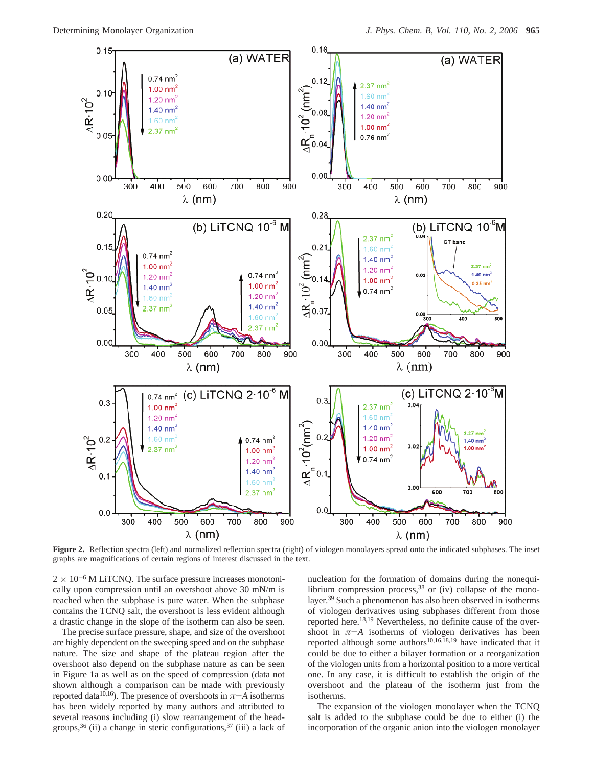

**Figure 2.** Reflection spectra (left) and normalized reflection spectra (right) of viologen monolayers spread onto the indicated subphases. The inset graphs are magnifications of certain regions of interest discussed in the text.

 $2 \times 10^{-6}$  M LiTCNQ. The surface pressure increases monotonically upon compression until an overshoot above 30 mN/m is reached when the subphase is pure water. When the subphase contains the TCNQ salt, the overshoot is less evident although a drastic change in the slope of the isotherm can also be seen.

The precise surface pressure, shape, and size of the overshoot are highly dependent on the sweeping speed and on the subphase nature. The size and shape of the plateau region after the overshoot also depend on the subphase nature as can be seen in Figure 1a as well as on the speed of compression (data not shown although a comparison can be made with previously reported data<sup>10,16</sup>). The presence of overshoots in  $\pi$ -*A* isotherms has been widely reported by many authors and attributed to several reasons including (i) slow rearrangement of the headgroups,  $36$  (ii) a change in steric configurations,  $37$  (iii) a lack of

nucleation for the formation of domains during the nonequilibrium compression process,  $38$  or (iv) collapse of the monolayer.39 Such a phenomenon has also been observed in isotherms of viologen derivatives using subphases different from those reported here.18,19 Nevertheless, no definite cause of the overshoot in  $\pi$ -*A* isotherms of viologen derivatives has been reported although some authors<sup>10,16,18,19</sup> have indicated that it could be due to either a bilayer formation or a reorganization of the viologen units from a horizontal position to a more vertical one. In any case, it is difficult to establish the origin of the overshoot and the plateau of the isotherm just from the isotherms.

The expansion of the viologen monolayer when the TCNQ salt is added to the subphase could be due to either (i) the incorporation of the organic anion into the viologen monolayer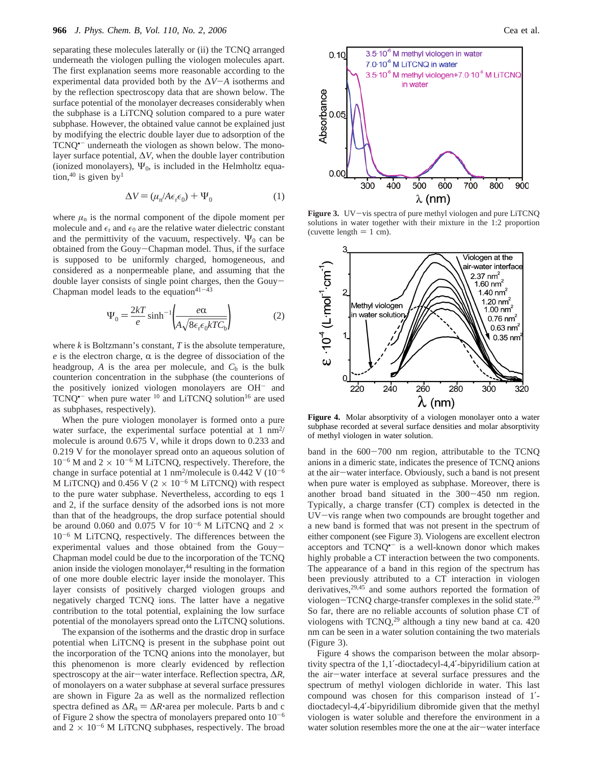separating these molecules laterally or (ii) the TCNQ arranged underneath the viologen pulling the viologen molecules apart. The first explanation seems more reasonable according to the experimental data provided both by the  $\Delta V$ -*A* isotherms and by the reflection spectroscopy data that are shown below. The surface potential of the monolayer decreases considerably when the subphase is a LiTCNQ solution compared to a pure water subphase. However, the obtained value cannot be explained just by modifying the electric double layer due to adsorption of the TCNO<sup> $-$ </sup> underneath the viologen as shown below. The monolayer surface potential,  $\Delta V$ , when the double layer contribution (ionized monolayers),  $\Psi_0$ , is included in the Helmholtz equation,  $40$  is given by<sup>1</sup>

$$
\Delta V = (\mu_{n}/A\epsilon_{r}\epsilon_{0}) + \Psi_{0}
$$
 (1)

where  $\mu_n$  is the normal component of the dipole moment per molecule and  $\epsilon_{\rm r}$  and  $\epsilon_{0}$  are the relative water dielectric constant and the permittivity of the vacuum, respectively.  $\Psi_0$  can be obtained from the Gouy-Chapman model. Thus, if the surface is supposed to be uniformly charged, homogeneous, and considered as a nonpermeable plane, and assuming that the double layer consists of single point charges, then the Gouy-Chapman model leads to the equation $41-43$ 

$$
\Psi_0 = \frac{2kT}{e} \sinh^{-1} \left( \frac{e\alpha}{A\sqrt{8\epsilon_r \epsilon_0 kTC_b}} \right) \tag{2}
$$

where *k* is Boltzmann's constant, *T* is the absolute temperature,  $e$  is the electron charge,  $\alpha$  is the degree of dissociation of the headgroup,  $A$  is the area per molecule, and  $C<sub>b</sub>$  is the bulk counterion concentration in the subphase (the counterions of the positively ionized viologen monolayers are  $OH^-$  and  $TCNQ<sup>•</sup>$  when pure water  $^{10}$  and LiTCNQ solution<sup>16</sup> are used as subphases, respectively).

When the pure viologen monolayer is formed onto a pure water surface, the experimental surface potential at  $1 \text{ nm}^2$ / molecule is around 0.675 V, while it drops down to 0.233 and 0.219 V for the monolayer spread onto an aqueous solution of  $10^{-6}$  M and  $2 \times 10^{-6}$  M LiTCNQ, respectively. Therefore, the change in surface potential at 1 nm<sup>2</sup>/molecule is  $0.442$  V  $(10^{-6}$ M LiTCNQ) and 0.456 V ( $2 \times 10^{-6}$  M LiTCNQ) with respect to the pure water subphase. Nevertheless, according to eqs 1 and 2, if the surface density of the adsorbed ions is not more than that of the headgroups, the drop surface potential should be around 0.060 and 0.075 V for  $10^{-6}$  M LiTCNQ and 2  $\times$ 10-<sup>6</sup> M LiTCNQ, respectively. The differences between the experimental values and those obtained from the Gouy-Chapman model could be due to the incorporation of the TCNQ anion inside the viologen monolayer,<sup>44</sup> resulting in the formation of one more double electric layer inside the monolayer. This layer consists of positively charged viologen groups and negatively charged TCNQ ions. The latter have a negative contribution to the total potential, explaining the low surface potential of the monolayers spread onto the LiTCNQ solutions.

The expansion of the isotherms and the drastic drop in surface potential when LiTCNQ is present in the subphase point out the incorporation of the TCNQ anions into the monolayer, but this phenomenon is more clearly evidenced by reflection spectroscopy at the air-water interface. Reflection spectra, <sup>∆</sup>*R*, of monolayers on a water subphase at several surface pressures are shown in Figure 2a as well as the normalized reflection spectra defined as  $\Delta R_n = \Delta R$ 'area per molecule. Parts b and c of Figure 2 show the spectra of monolayers prepared onto  $10^{-6}$ and  $2 \times 10^{-6}$  M LiTCNO subphases, respectively. The broad



Figure 3. UV-vis spectra of pure methyl viologen and pure LiTCNQ solutions in water together with their mixture in the 1:2 proportion (cuvette length  $= 1$  cm).



**Figure 4.** Molar absorptivity of a viologen monolayer onto a water subphase recorded at several surface densities and molar absorptivity of methyl viologen in water solution.

band in the 600-700 nm region, attributable to the TCNQ anions in a dimeric state, indicates the presence of TCNQ anions at the air-water interface. Obviously, such a band is not present when pure water is employed as subphase. Moreover, there is another broad band situated in the 300-450 nm region. Typically, a charge transfer (CT) complex is detected in the UV-vis range when two compounds are brought together and a new band is formed that was not present in the spectrum of either component (see Figure 3). Viologens are excellent electron acceptors and TCNQ<sup>+-</sup> is a well-known donor which makes highly probable a CT interaction between the two components. The appearance of a band in this region of the spectrum has been previously attributed to a CT interaction in viologen derivatives,  $29,45$  and some authors reported the formation of viologen-TCNQ charge-transfer complexes in the solid state.<sup>29</sup> So far, there are no reliable accounts of solution phase CT of viologens with TCNQ,<sup>29</sup> although a tiny new band at ca. 420 nm can be seen in a water solution containing the two materials (Figure 3).

Figure 4 shows the comparison between the molar absorptivity spectra of the 1,1′-dioctadecyl-4,4′-bipyridilium cation at the air-water interface at several surface pressures and the spectrum of methyl viologen dichloride in water. This last compound was chosen for this comparison instead of 1′ dioctadecyl-4,4′-bipyridilium dibromide given that the methyl viologen is water soluble and therefore the environment in a water solution resembles more the one at the air-water interface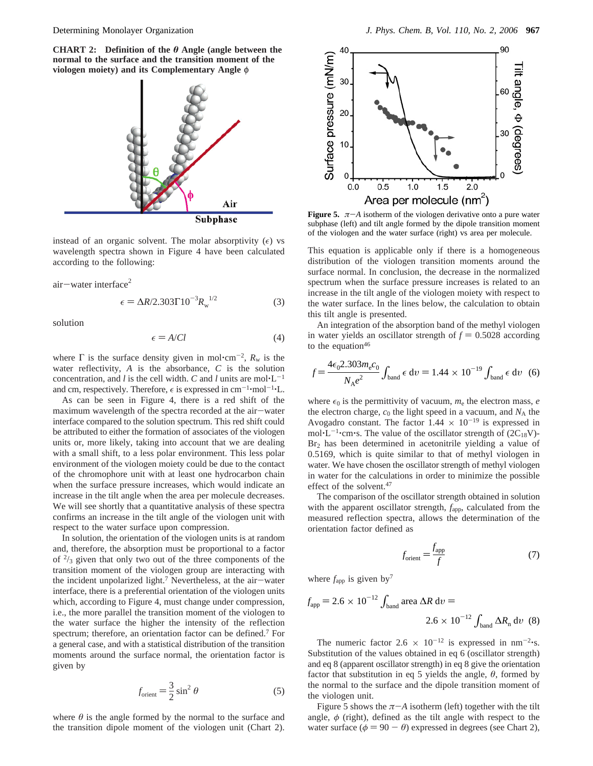**CHART 2: Definition of the** *θ* **Angle (angle between the normal to the surface and the transition moment of the** viologen moiety) and its Complementary Angle  $\phi$ 



instead of an organic solvent. The molar absorptivity  $(\epsilon)$  vs wavelength spectra shown in Figure 4 have been calculated according to the following:

air-water interface $2$ 

$$
\epsilon = \Delta R / 2.303 \Gamma 10^{-3} R_{\rm w}^{1/2} \tag{3}
$$

solution

$$
\epsilon = A/Cl \tag{4}
$$

where  $\Gamma$  is the surface density given in mol·cm<sup>-2</sup>,  $R_w$  is the water reflectivity, *A* is the absorbance, *C* is the solution concentration, and *l* is the cell width. *C* and *l* units are mol $L^{-1}$ and cm, respectively. Therefore,  $\epsilon$  is expressed in cm<sup>-1</sup>·mol<sup>-1</sup>·L.

As can be seen in Figure 4, there is a red shift of the maximum wavelength of the spectra recorded at the air-water interface compared to the solution spectrum. This red shift could be attributed to either the formation of associates of the viologen units or, more likely, taking into account that we are dealing with a small shift, to a less polar environment. This less polar environment of the viologen moiety could be due to the contact of the chromophore unit with at least one hydrocarbon chain when the surface pressure increases, which would indicate an increase in the tilt angle when the area per molecule decreases. We will see shortly that a quantitative analysis of these spectra confirms an increase in the tilt angle of the viologen unit with respect to the water surface upon compression.

In solution, the orientation of the viologen units is at random and, therefore, the absorption must be proportional to a factor of  $\frac{2}{3}$  given that only two out of the three components of the transition moment of the viologen group are interacting with the incident unpolarized light.<sup>7</sup> Nevertheless, at the air-water interface, there is a preferential orientation of the viologen units which, according to Figure 4, must change under compression, i.e., the more parallel the transition moment of the viologen to the water surface the higher the intensity of the reflection spectrum; therefore, an orientation factor can be defined.7 For a general case, and with a statistical distribution of the transition moments around the surface normal, the orientation factor is given by

$$
f_{\text{orient}} = \frac{3}{2} \sin^2 \theta \tag{5}
$$

where  $\theta$  is the angle formed by the normal to the surface and the transition dipole moment of the viologen unit (Chart 2).



**Figure 5.**  $\pi$ -*A* isotherm of the viologen derivative onto a pure water subphase (left) and tilt angle formed by the dipole transition moment of the viologen and the water surface (right) vs area per molecule.

This equation is applicable only if there is a homogeneous distribution of the viologen transition moments around the surface normal. In conclusion, the decrease in the normalized spectrum when the surface pressure increases is related to an increase in the tilt angle of the viologen moiety with respect to the water surface. In the lines below, the calculation to obtain this tilt angle is presented.

An integration of the absorption band of the methyl viologen in water yields an oscillator strength of  $f = 0.5028$  according to the equation $46$ 

$$
f = \frac{4\epsilon_0 2.303 m_e c_0}{N_A e^2} \int_{\text{band}} \epsilon \, \text{d}v = 1.44 \times 10^{-19} \int_{\text{band}} \epsilon \, \text{d}v \tag{6}
$$

where  $\epsilon_0$  is the permittivity of vacuum,  $m_e$  the electron mass,  $e$ the electron charge, *c*<sup>0</sup> the light speed in a vacuum, and *N*<sup>A</sup> the Avogadro constant. The factor  $1.44 \times 10^{-19}$  is expressed in mol $\cdot$ L<sup>-1</sup> $\cdot$ cm $\cdot$ s. The value of the oscillator strength of (2C<sub>18</sub>V)-Br<sub>2</sub> has been determined in acetonitrile yielding a value of 0.5169, which is quite similar to that of methyl viologen in water. We have chosen the oscillator strength of methyl viologen in water for the calculations in order to minimize the possible effect of the solvent.47

The comparison of the oscillator strength obtained in solution with the apparent oscillator strength,  $f_{app}$ , calculated from the measured reflection spectra, allows the determination of the orientation factor defined as

$$
f_{\text{orient}} = \frac{f_{\text{app}}}{f} \tag{7}
$$

where  $f_{app}$  is given by<sup>7</sup>

$$
f_{\text{app}} = 2.6 \times 10^{-12} \int_{\text{band}} \text{area } \Delta R \, \text{d}v =
$$
  
 $2.6 \times 10^{-12} \int_{\text{band}} \Delta R_n \, \text{d}v$  (8)

The numeric factor 2.6  $\times$  10<sup>-12</sup> is expressed in nm<sup>-2</sup>·s. Substitution of the values obtained in eq 6 (oscillator strength) and eq 8 (apparent oscillator strength) in eq 8 give the orientation factor that substitution in eq 5 yields the angle, *θ*, formed by the normal to the surface and the dipole transition moment of the viologen unit.

Figure 5 shows the  $\pi$ -*A* isotherm (left) together with the tilt angle,  $\phi$  (right), defined as the tilt angle with respect to the water surface ( $\phi = 90 - \theta$ ) expressed in degrees (see Chart 2),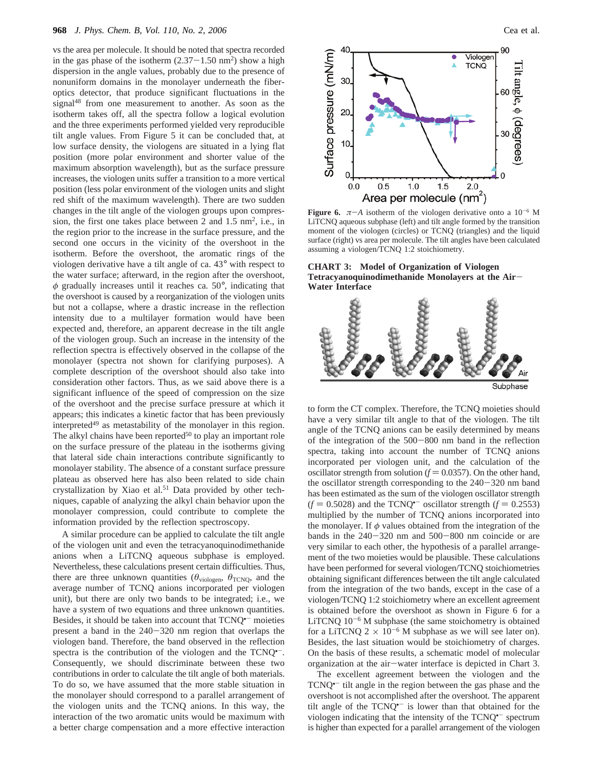vs the area per molecule. It should be noted that spectra recorded in the gas phase of the isotherm  $(2.37-1.50 \text{ nm}^2)$  show a high dispersion in the angle values, probably due to the presence of nonuniform domains in the monolayer underneath the fiberoptics detector, that produce significant fluctuations in the signal<sup>48</sup> from one measurement to another. As soon as the isotherm takes off, all the spectra follow a logical evolution and the three experiments performed yielded very reproducible tilt angle values. From Figure 5 it can be concluded that, at low surface density, the viologens are situated in a lying flat position (more polar environment and shorter value of the maximum absorption wavelength), but as the surface pressure increases, the viologen units suffer a transition to a more vertical position (less polar environment of the viologen units and slight red shift of the maximum wavelength). There are two sudden changes in the tilt angle of the viologen groups upon compression, the first one takes place between 2 and  $1.5 \text{ nm}^2$ , i.e., in the region prior to the increase in the surface pressure, and the second one occurs in the vicinity of the overshoot in the isotherm. Before the overshoot, the aromatic rings of the viologen derivative have a tilt angle of ca. 43° with respect to the water surface; afterward, in the region after the overshoot, *φ* gradually increases until it reaches ca. 50°, indicating that the overshoot is caused by a reorganization of the viologen units but not a collapse, where a drastic increase in the reflection intensity due to a multilayer formation would have been expected and, therefore, an apparent decrease in the tilt angle of the viologen group. Such an increase in the intensity of the reflection spectra is effectively observed in the collapse of the monolayer (spectra not shown for clarifying purposes). A complete description of the overshoot should also take into consideration other factors. Thus, as we said above there is a significant influence of the speed of compression on the size of the overshoot and the precise surface pressure at which it appears; this indicates a kinetic factor that has been previously interpreted49 as metastability of the monolayer in this region. The alkyl chains have been reported $50$  to play an important role on the surface pressure of the plateau in the isotherms giving that lateral side chain interactions contribute significantly to monolayer stability. The absence of a constant surface pressure plateau as observed here has also been related to side chain crystallization by Xiao et al. $51$  Data provided by other techniques, capable of analyzing the alkyl chain behavior upon the monolayer compression, could contribute to complete the information provided by the reflection spectroscopy.

A similar procedure can be applied to calculate the tilt angle of the viologen unit and even the tetracyanoquinodimethanide anions when a LiTCNQ aqueous subphase is employed. Nevertheless, these calculations present certain difficulties. Thus, there are three unknown quantities ( $\theta_{\text{viologen}}$ ,  $\theta_{\text{TCNO}}$ , and the average number of TCNQ anions incorporated per viologen unit), but there are only two bands to be integrated; i.e., we have a system of two equations and three unknown quantities. Besides, it should be taken into account that  $TCNO<sup>–</sup>$  moieties present a band in the 240-320 nm region that overlaps the viologen band. Therefore, the band observed in the reflection spectra is the contribution of the viologen and the TCNQ<sup>+-</sup>. Consequently, we should discriminate between these two contributions in order to calculate the tilt angle of both materials. To do so, we have assumed that the more stable situation in the monolayer should correspond to a parallel arrangement of the viologen units and the TCNQ anions. In this way, the interaction of the two aromatic units would be maximum with a better charge compensation and a more effective interaction



**Figure 6.**  $\pi$ -*A* isotherm of the viologen derivative onto a 10<sup>-6</sup> M LiTCNQ aqueous subphase (left) and tilt angle formed by the transition moment of the viologen (circles) or TCNQ (triangles) and the liquid surface (right) vs area per molecule. The tilt angles have been calculated assuming a viologen/TCNQ 1:2 stoichiometry.

**CHART 3: Model of Organization of Viologen Tetracyanoquinodimethanide Monolayers at the Air**-**Water Interface**



to form the CT complex. Therefore, the TCNQ moieties should have a very similar tilt angle to that of the viologen. The tilt angle of the TCNQ anions can be easily determined by means of the integration of the 500-800 nm band in the reflection spectra, taking into account the number of TCNQ anions incorporated per viologen unit, and the calculation of the oscillator strength from solution  $(f = 0.0357)$ . On the other hand, the oscillator strength corresponding to the 240-320 nm band has been estimated as the sum of the viologen oscillator strength  $(f = 0.5028)$  and the TCNQ<sup> $\sim$ </sup> oscillator strength  $(f = 0.2553)$ multiplied by the number of TCNQ anions incorporated into the monolayer. If  $\phi$  values obtained from the integration of the bands in the 240-320 nm and 500-800 nm coincide or are very similar to each other, the hypothesis of a parallel arrangement of the two moieties would be plausible. These calculations have been performed for several viologen/TCNQ stoichiometries obtaining significant differences between the tilt angle calculated from the integration of the two bands, except in the case of a viologen/TCNQ 1:2 stoichiometry where an excellent agreement is obtained before the overshoot as shown in Figure 6 for a LiTCNQ  $10^{-6}$  M subphase (the same stoichometry is obtained for a LiTCNQ  $2 \times 10^{-6}$  M subphase as we will see later on). Besides, the last situation would be stoichiometry of charges. On the basis of these results, a schematic model of molecular organization at the air-water interface is depicted in Chart 3.

The excellent agreement between the viologen and the TCNQ<sup>\*-</sup> tilt angle in the region between the gas phase and the overshoot is not accomplished after the overshoot. The apparent tilt angle of the TCNQ<sup>+-</sup> is lower than that obtained for the viologen indicating that the intensity of the  $TCNQ<sup>–</sup>$  spectrum is higher than expected for a parallel arrangement of the viologen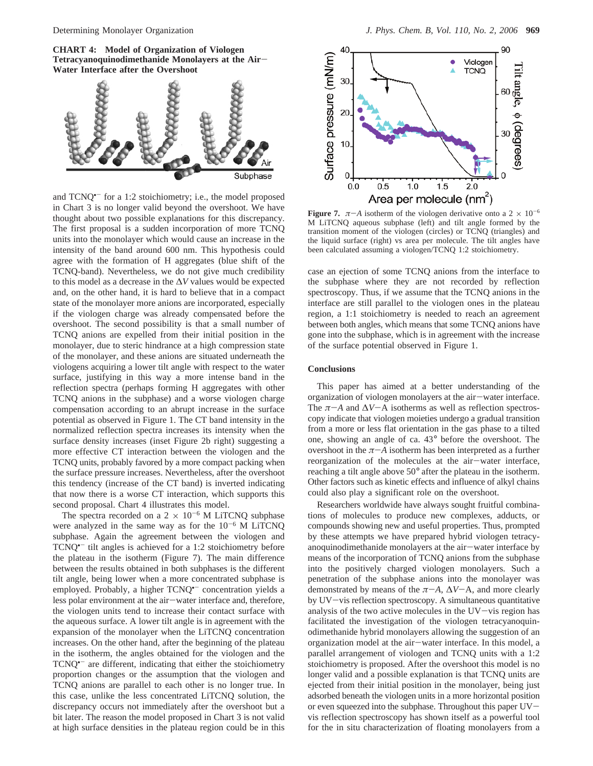**CHART 4: Model of Organization of Viologen Tetracyanoquinodimethanide Monolayers at the Air**-**Water Interface after the Overshoot**



and TCNQ<sup>\*-</sup> for a 1:2 stoichiometry; i.e., the model proposed in Chart 3 is no longer valid beyond the overshoot. We have thought about two possible explanations for this discrepancy. The first proposal is a sudden incorporation of more TCNQ units into the monolayer which would cause an increase in the intensity of the band around 600 nm. This hypothesis could agree with the formation of H aggregates (blue shift of the TCNQ-band). Nevertheless, we do not give much credibility to this model as a decrease in the ∆*V* values would be expected and, on the other hand, it is hard to believe that in a compact state of the monolayer more anions are incorporated, especially if the viologen charge was already compensated before the overshoot. The second possibility is that a small number of TCNQ anions are expelled from their initial position in the monolayer, due to steric hindrance at a high compression state of the monolayer, and these anions are situated underneath the viologens acquiring a lower tilt angle with respect to the water surface, justifying in this way a more intense band in the reflection spectra (perhaps forming H aggregates with other TCNQ anions in the subphase) and a worse viologen charge compensation according to an abrupt increase in the surface potential as observed in Figure 1. The CT band intensity in the normalized reflection spectra increases its intensity when the surface density increases (inset Figure 2b right) suggesting a more effective CT interaction between the viologen and the TCNQ units, probably favored by a more compact packing when the surface pressure increases. Nevertheless, after the overshoot this tendency (increase of the CT band) is inverted indicating that now there is a worse CT interaction, which supports this second proposal. Chart 4 illustrates this model.

The spectra recorded on a  $2 \times 10^{-6}$  M LiTCNQ subphase were analyzed in the same way as for the  $10^{-6}$  M LiTCNQ subphase. Again the agreement between the viologen and TCNQ<sup>+-</sup> tilt angles is achieved for a 1:2 stoichiometry before the plateau in the isotherm (Figure 7). The main difference between the results obtained in both subphases is the different tilt angle, being lower when a more concentrated subphase is employed. Probably, a higher TCNQ<sup>+-</sup> concentration yields a less polar environment at the air-water interface and, therefore, the viologen units tend to increase their contact surface with the aqueous surface. A lower tilt angle is in agreement with the expansion of the monolayer when the LiTCNQ concentration increases. On the other hand, after the beginning of the plateau in the isotherm, the angles obtained for the viologen and the TCNQ<sup>\*-</sup> are different, indicating that either the stoichiometry proportion changes or the assumption that the viologen and TCNQ anions are parallel to each other is no longer true. In this case, unlike the less concentrated LiTCNQ solution, the discrepancy occurs not immediately after the overshoot but a bit later. The reason the model proposed in Chart 3 is not valid at high surface densities in the plateau region could be in this



**Figure 7.**  $\pi$ -*A* isotherm of the viologen derivative onto a 2 × 10<sup>-6</sup> M LiTCNQ aqueous subphase (left) and tilt angle formed by the transition moment of the viologen (circles) or TCNQ (triangles) and the liquid surface (right) vs area per molecule. The tilt angles have been calculated assuming a viologen/TCNQ 1:2 stoichiometry.

case an ejection of some TCNQ anions from the interface to the subphase where they are not recorded by reflection spectroscopy. Thus, if we assume that the TCNQ anions in the interface are still parallel to the viologen ones in the plateau region, a 1:1 stoichiometry is needed to reach an agreement between both angles, which means that some TCNQ anions have gone into the subphase, which is in agreement with the increase of the surface potential observed in Figure 1.

#### **Conclusions**

This paper has aimed at a better understanding of the organization of viologen monolayers at the air-water interface. The  $\pi$ -*A* and  $\Delta V$ -*A* isotherms as well as reflection spectroscopy indicate that viologen moieties undergo a gradual transition from a more or less flat orientation in the gas phase to a tilted one, showing an angle of ca. 43° before the overshoot. The overshoot in the  $\pi$ -*A* isotherm has been interpreted as a further reorganization of the molecules at the air-water interface, reaching a tilt angle above 50° after the plateau in the isotherm. Other factors such as kinetic effects and influence of alkyl chains could also play a significant role on the overshoot.

Researchers worldwide have always sought fruitful combinations of molecules to produce new complexes, adducts, or compounds showing new and useful properties. Thus, prompted by these attempts we have prepared hybrid viologen tetracyanoquinodimethanide monolayers at the air-water interface by means of the incorporation of TCNQ anions from the subphase into the positively charged viologen monolayers. Such a penetration of the subphase anions into the monolayer was demonstrated by means of the  $\pi$ -*A*,  $\Delta V$ -*A*, and more clearly by UV-vis reflection spectroscopy. A simultaneous quantitative analysis of the two active molecules in the UV-vis region has facilitated the investigation of the viologen tetracyanoquinodimethanide hybrid monolayers allowing the suggestion of an organization model at the air-water interface. In this model, a parallel arrangement of viologen and TCNQ units with a 1:2 stoichiometry is proposed. After the overshoot this model is no longer valid and a possible explanation is that TCNQ units are ejected from their initial position in the monolayer, being just adsorbed beneath the viologen units in a more horizontal position or even squeezed into the subphase. Throughout this paper UVvis reflection spectroscopy has shown itself as a powerful tool for the in situ characterization of floating monolayers from a